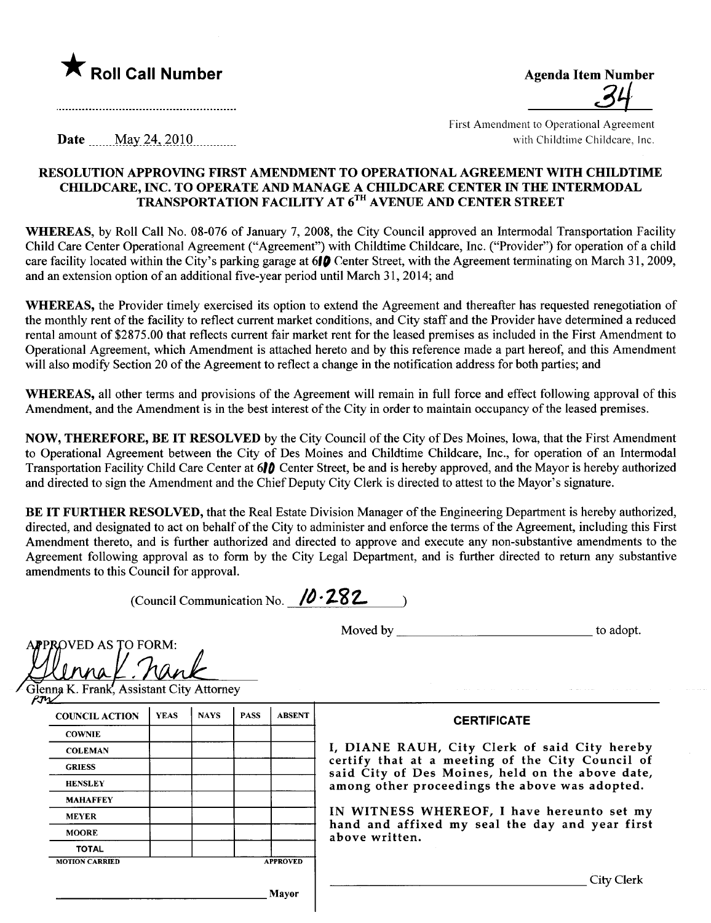

| <b>Agenda Item Number</b> |
|---------------------------|
| QЦ                        |
|                           |

First Amendment to Operational Agreement with Childtime Childcare, Inc.

**Date**  $\text{May } 24, 2010$ 

## RESOLUTION APPROVING FIRST AMENDMENT TO OPERATIONAL AGREEMENT WITH CHILDTIME CHILDCARE, INC. TO OPERATE AND MANAGE A CHILDCARE CENTER IN THE INTERMODAL TRANSPORTATION FACILITY AT 6TH AVENUE AND CENTER STREET

WHEREAS, by Roll Call No. 08-076 of January 7, 2008, the City Council approved an Intermodal Transportation Facility Child Care Center Operational Agreement ("Agreement") with Childtime Childcare, Inc. ("Provider") for operation of a child care facility located within the City's parking garage at  $610$  Center Street, with the Agreement terminating on March 31, 2009, and an extension option of an additional five-year period until March 31, 2014; and

WHEREAS, the Provider timely exercised its option to extend the Agreement and thereafter has requested renegotiation of the monthly rent of the facility to reflect current market conditions, and City staff and the Provider have determined a reduced rental amount of \$2875.00 that reflects current fair market rent for the leased premises as included in the First Amendment to Operational Agreement, which Amendment is attached hereto and by this reference made a part hereof, and this Amendment will also modify Section 20 of the Agreement to reflect a change in the notification address for both parties; and

WHEREAS, all other terms and provisions of the Agreement will remain in full force and effect following approval of this Amendment, and the Amendment is in the best interest of the City in order to maintain occupancy of the leased premises.

NOW, THEREFORE, BE IT RESOLVED by the City Council of the City of Des Moines, Iowa, that the First Amendment to Operational Agreement between the City of Des Moines and Childtime Childcare, Inc., for operation of an Intermodal Transportation Facilty Child Care Center at 61D Center Street, be and is hereby approved, and the Mayor is hereby authorized and directed to sign the Amendment and the Chief Deputy City Clerk is directed to attest to the Mayor's signature.

BE IT FURTHER RESOLVED, that the Real Estate Division Manager of the Engineering Department is hereby authorized, directed, and designated to act on behalf of the City to administer and enforce the terms of the Agreement, including this First Amendment thereto, and is further authorized and directed to approve and execute any non-substantive amendments to the Agreement following approval as to form by the City Legal Department, and is further directed to return any substantive amendments to this Council for approvaL.

(Council Communication No.  $10.282$ 

Moved by to adopt.

APPROVED AS TO FORM:<br>Colonna K. Frank, Assistant City At <u>JUMAL: Mult</u><br>Slenna K. Frank, Assistant City Attorney

 $R_{T1}$ 

| <b>COUNCIL ACTION</b> | <b>YEAS</b> | <b>NAYS</b> | <b>PASS</b> | <b>ABSENT</b>   |  |
|-----------------------|-------------|-------------|-------------|-----------------|--|
| <b>COWNIE</b>         |             |             |             |                 |  |
| <b>COLEMAN</b>        |             |             |             |                 |  |
| <b>GRIESS</b>         |             |             |             |                 |  |
| <b>HENSLEY</b>        |             |             |             |                 |  |
| <b>MAHAFFEY</b>       |             |             |             |                 |  |
| <b>MEYER</b>          |             |             |             |                 |  |
| <b>MOORE</b>          |             |             |             |                 |  |
| <b>TOTAL</b>          |             |             |             |                 |  |
| <b>MOTION CARRIED</b> |             |             |             | <b>APPROVED</b> |  |

**CERTIFICATE** 

I, DIANE RAUH, City Clerk of said City hereby certify that at a meeting of the City Council of said City of Des Moines, held on the above date, among other proceedings the above was adopted.

IN WITNESS WHEREOF, I have hereunto set my hand and affixed my seal the day and year first above written.

City Clerk

Mayor